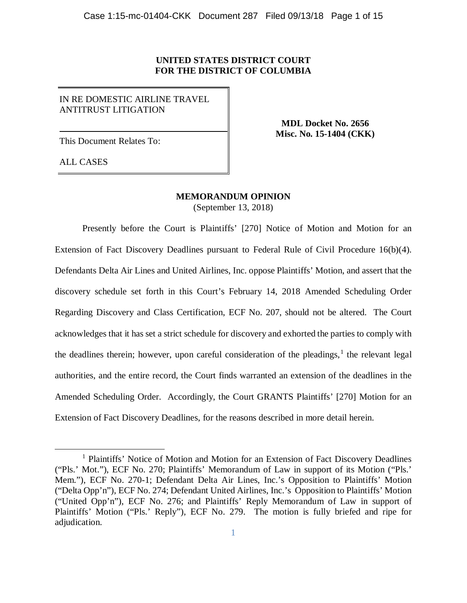## **UNITED STATES DISTRICT COURT FOR THE DISTRICT OF COLUMBIA**

# IN RE DOMESTIC AIRLINE TRAVEL ANTITRUST LITIGATION

This Document Relates To:

**MDL Docket No. 2656 Misc. No. 15-1404 (CKK)**

ALL CASES

# **MEMORANDUM OPINION**

(September 13, 2018)

Presently before the Court is Plaintiffs' [270] Notice of Motion and Motion for an Extension of Fact Discovery Deadlines pursuant to Federal Rule of Civil Procedure 16(b)(4). Defendants Delta Air Lines and United Airlines, Inc. oppose Plaintiffs' Motion, and assert that the discovery schedule set forth in this Court's February 14, 2018 Amended Scheduling Order Regarding Discovery and Class Certification, ECF No. 207, should not be altered. The Court acknowledges that it has set a strict schedule for discovery and exhorted the parties to comply with the deadlines therein; however, upon careful consideration of the pleadings,<sup>[1](#page-0-0)</sup> the relevant legal authorities, and the entire record, the Court finds warranted an extension of the deadlines in the Amended Scheduling Order. Accordingly, the Court GRANTS Plaintiffs' [270] Motion for an Extension of Fact Discovery Deadlines, for the reasons described in more detail herein.

<span id="page-0-0"></span><sup>&</sup>lt;sup>1</sup> Plaintiffs' Notice of Motion and Motion for an Extension of Fact Discovery Deadlines ("Pls.' Mot."), ECF No. 270; Plaintiffs' Memorandum of Law in support of its Motion ("Pls.' Mem."), ECF No. 270-1; Defendant Delta Air Lines, Inc.'s Opposition to Plaintiffs' Motion ("Delta Opp'n"), ECF No. 274; Defendant United Airlines, Inc.'s Opposition to Plaintiffs' Motion ("United Opp'n"), ECF No. 276; and Plaintiffs' Reply Memorandum of Law in support of Plaintiffs' Motion ("Pls.' Reply"), ECF No. 279. The motion is fully briefed and ripe for adjudication.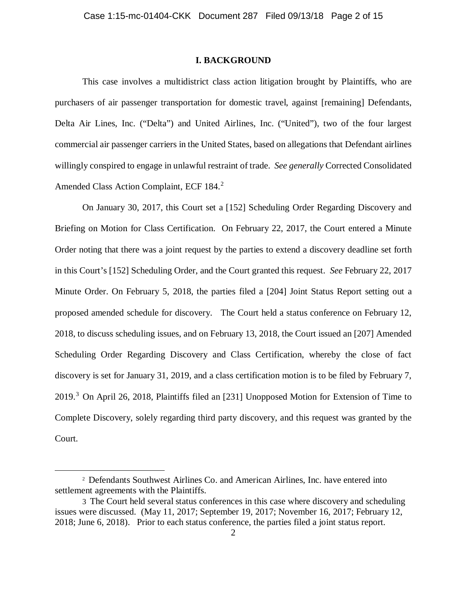### **I. BACKGROUND**

This case involves a multidistrict class action litigation brought by Plaintiffs, who are purchasers of air passenger transportation for domestic travel, against [remaining] Defendants, Delta Air Lines, Inc. ("Delta") and United Airlines, Inc. ("United"), two of the four largest commercial air passenger carriers in the United States, based on allegations that Defendant airlines willingly conspired to engage in unlawful restraint of trade. *See generally* Corrected Consolidated Amended Class Action Complaint, ECF 184. [2](#page-1-0)

On January 30, 2017, this Court set a [152] Scheduling Order Regarding Discovery and Briefing on Motion for Class Certification. On February 22, 2017, the Court entered a Minute Order noting that there was a joint request by the parties to extend a discovery deadline set forth in this Court's [152] Scheduling Order, and the Court granted this request. *See* February 22, 2017 Minute Order. On February 5, 2018, the parties filed a [204] Joint Status Report setting out a proposed amended schedule for discovery. The Court held a status conference on February 12, 2018, to discuss scheduling issues, and on February 13, 2018, the Court issued an [207] Amended Scheduling Order Regarding Discovery and Class Certification, whereby the close of fact discovery is set for January 31, 2019, and a class certification motion is to be filed by February 7, 2019.[3](#page-1-1) On April 26, 2018, Plaintiffs filed an [231] Unopposed Motion for Extension of Time to Complete Discovery, solely regarding third party discovery, and this request was granted by the Court.

<span id="page-1-0"></span> <sup>2</sup> Defendants Southwest Airlines Co. and American Airlines, Inc. have entered into settlement agreements with the Plaintiffs.

<span id="page-1-1"></span><sup>3</sup> The Court held several status conferences in this case where discovery and scheduling issues were discussed. (May 11, 2017; September 19, 2017; November 16, 2017; February 12, 2018; June 6, 2018). Prior to each status conference, the parties filed a joint status report.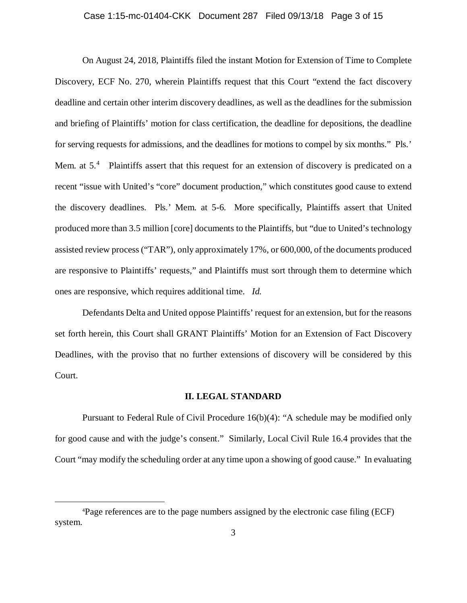### Case 1:15-mc-01404-CKK Document 287 Filed 09/13/18 Page 3 of 15

On August 24, 2018, Plaintiffs filed the instant Motion for Extension of Time to Complete Discovery, ECF No. 270, wherein Plaintiffs request that this Court "extend the fact discovery deadline and certain other interim discovery deadlines, as well as the deadlines for the submission and briefing of Plaintiffs' motion for class certification, the deadline for depositions, the deadline for serving requests for admissions, and the deadlines for motions to compel by six months." Pls.' Mem. at  $5<sup>4</sup>$  $5<sup>4</sup>$  $5<sup>4</sup>$  Plaintiffs assert that this request for an extension of discovery is predicated on a recent "issue with United's "core" document production," which constitutes good cause to extend the discovery deadlines. Pls.' Mem. at 5-6. More specifically, Plaintiffs assert that United produced more than 3.5 million [core] documents to the Plaintiffs, but "due to United's technology assisted review process ("TAR"), only approximately 17%, or 600,000, of the documents produced are responsive to Plaintiffs' requests," and Plaintiffs must sort through them to determine which ones are responsive, which requires additional time. *Id.* 

Defendants Delta and United oppose Plaintiffs' request for an extension, but for the reasons set forth herein, this Court shall GRANT Plaintiffs' Motion for an Extension of Fact Discovery Deadlines, with the proviso that no further extensions of discovery will be considered by this Court.

#### **II. LEGAL STANDARD**

Pursuant to Federal Rule of Civil Procedure 16(b)(4): "A schedule may be modified only for good cause and with the judge's consent." Similarly, Local Civil Rule 16.4 provides that the Court "may modify the scheduling order at any time upon a showing of good cause." In evaluating

<span id="page-2-0"></span> $\frac{1}{4}$ Page references are to the page numbers assigned by the electronic case filing (ECF) system.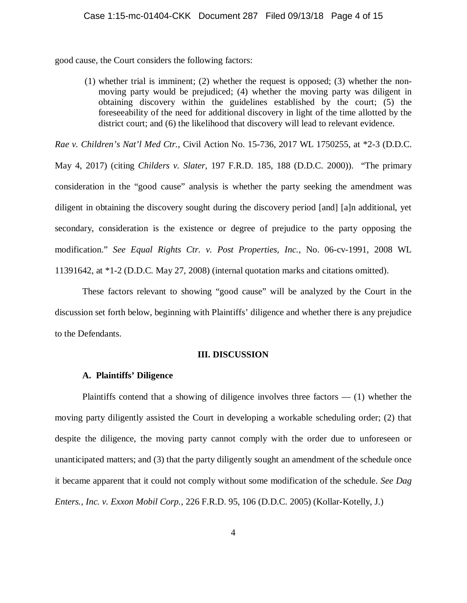good cause, the Court considers the following factors:

(1) whether trial is imminent; (2) whether the request is opposed; (3) whether the nonmoving party would be prejudiced; (4) whether the moving party was diligent in obtaining discovery within the guidelines established by the court; (5) the foreseeability of the need for additional discovery in light of the time allotted by the district court; and (6) the likelihood that discovery will lead to relevant evidence.

*Rae v. Children's Nat'l Med Ctr.*, Civil Action No. 15-736, 2017 WL 1750255, at \*2-3 (D.D.C.

May 4, 2017) (citing *Childers v. Slater*, 197 F.R.D. 185, 188 (D.D.C. 2000)). "The primary consideration in the "good cause" analysis is whether the party seeking the amendment was diligent in obtaining the discovery sought during the discovery period [and] [a]n additional, yet secondary, consideration is the existence or degree of prejudice to the party opposing the modification." *See Equal Rights Ctr. v. Post Properties, Inc.,* No. 06-cv-1991, 2008 WL 11391642, at \*1-2 (D.D.C. May 27, 2008) (internal quotation marks and citations omitted).

These factors relevant to showing "good cause" will be analyzed by the Court in the discussion set forth below, beginning with Plaintiffs' diligence and whether there is any prejudice to the Defendants.

### **III. DISCUSSION**

#### **A. Plaintiffs' Diligence**

Plaintiffs contend that a showing of diligence involves three factors  $- (1)$  whether the moving party diligently assisted the Court in developing a workable scheduling order; (2) that despite the diligence, the moving party cannot comply with the order due to unforeseen or unanticipated matters; and (3) that the party diligently sought an amendment of the schedule once it became apparent that it could not comply without some modification of the schedule. *See Dag Enters., Inc. v. Exxon Mobil Corp.*, 226 F.R.D. 95, 106 (D.D.C. 2005) (Kollar-Kotelly, J.)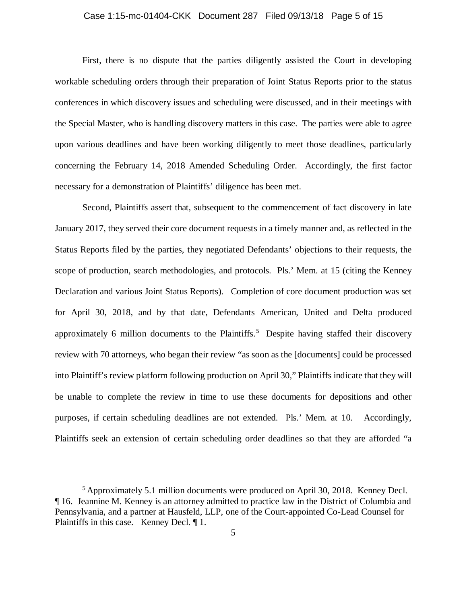# Case 1:15-mc-01404-CKK Document 287 Filed 09/13/18 Page 5 of 15

First, there is no dispute that the parties diligently assisted the Court in developing workable scheduling orders through their preparation of Joint Status Reports prior to the status conferences in which discovery issues and scheduling were discussed, and in their meetings with the Special Master, who is handling discovery matters in this case. The parties were able to agree upon various deadlines and have been working diligently to meet those deadlines, particularly concerning the February 14, 2018 Amended Scheduling Order. Accordingly, the first factor necessary for a demonstration of Plaintiffs' diligence has been met.

Second, Plaintiffs assert that, subsequent to the commencement of fact discovery in late January 2017, they served their core document requests in a timely manner and, as reflected in the Status Reports filed by the parties, they negotiated Defendants' objections to their requests, the scope of production, search methodologies, and protocols. Pls.' Mem. at 15 (citing the Kenney Declaration and various Joint Status Reports). Completion of core document production was set for April 30, 2018, and by that date, Defendants American, United and Delta produced approximately 6 million documents to the Plaintiffs.<sup>[5](#page-4-0)</sup> Despite having staffed their discovery review with 70 attorneys, who began their review "as soon as the [documents] could be processed into Plaintiff's review platform following production on April 30," Plaintiffs indicate that they will be unable to complete the review in time to use these documents for depositions and other purposes, if certain scheduling deadlines are not extended. Pls.' Mem. at 10. Accordingly, Plaintiffs seek an extension of certain scheduling order deadlines so that they are afforded "a

<span id="page-4-0"></span> <sup>5</sup> Approximately 5.1 million documents were produced on April 30, 2018. Kenney Decl. ¶ 16. Jeannine M. Kenney is an attorney admitted to practice law in the District of Columbia and Pennsylvania, and a partner at Hausfeld, LLP, one of the Court-appointed Co-Lead Counsel for Plaintiffs in this case. Kenney Decl. ¶ 1.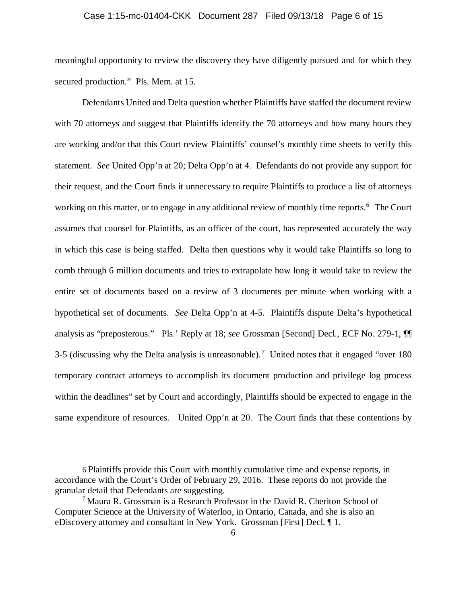# Case 1:15-mc-01404-CKK Document 287 Filed 09/13/18 Page 6 of 15

meaningful opportunity to review the discovery they have diligently pursued and for which they secured production." Pls. Mem. at 15.

Defendants United and Delta question whether Plaintiffs have staffed the document review with 70 attorneys and suggest that Plaintiffs identify the 70 attorneys and how many hours they are working and/or that this Court review Plaintiffs' counsel's monthly time sheets to verify this statement. *See* United Opp'n at 20; Delta Opp'n at 4.Defendants do not provide any support for their request, and the Court finds it unnecessary to require Plaintiffs to produce a list of attorneys working on this matter, or to engage in any additional review of monthly time reports.<sup>[6](#page-5-0)</sup> The Court assumes that counsel for Plaintiffs, as an officer of the court, has represented accurately the way in which this case is being staffed. Delta then questions why it would take Plaintiffs so long to comb through 6 million documents and tries to extrapolate how long it would take to review the entire set of documents based on a review of 3 documents per minute when working with a hypothetical set of documents. *See* Delta Opp'n at 4-5. Plaintiffs dispute Delta's hypothetical analysis as "preposterous." Pls.' Reply at 18; *see* Grossman [Second] Decl., ECF No. 279-1, ¶¶ 3-5 (discussing why the Delta analysis is unreasonable).<sup>[7](#page-5-1)</sup> United notes that it engaged "over 180 temporary contract attorneys to accomplish its document production and privilege log process within the deadlines" set by Court and accordingly, Plaintiffs should be expected to engage in the same expenditure of resources. United Opp'n at 20. The Court finds that these contentions by

 $\overline{a}$ 

<span id="page-5-0"></span><sup>6</sup> Plaintiffs provide this Court with monthly cumulative time and expense reports, in accordance with the Court's Order of February 29, 2016. These reports do not provide the granular detail that Defendants are suggesting.<br><sup>7</sup> Maura R. Grossman is a Research Professor in the David R. Cheriton School of

<span id="page-5-1"></span>Computer Science at the University of Waterloo, in Ontario, Canada, and she is also an eDiscovery attorney and consultant in New York. Grossman [First] Decl. ¶ 1.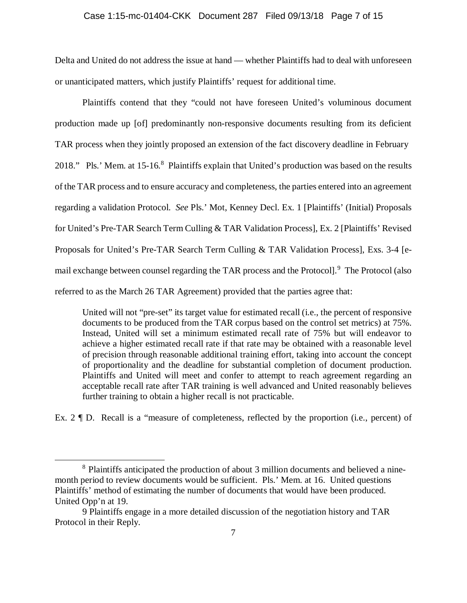### Case 1:15-mc-01404-CKK Document 287 Filed 09/13/18 Page 7 of 15

Delta and United do not address the issue at hand — whether Plaintiffs had to deal with unforeseen or unanticipated matters, which justify Plaintiffs' request for additional time.

Plaintiffs contend that they "could not have foreseen United's voluminous document production made up [of] predominantly non-responsive documents resulting from its deficient TAR process when they jointly proposed an extension of the fact discovery deadline in February 201[8](#page-6-0)." Pls.' Mem. at 15-16.<sup>8</sup> Plaintiffs explain that United's production was based on the results of the TAR process and to ensure accuracy and completeness, the parties entered into an agreement regarding a validation Protocol. *See* Pls.' Mot, Kenney Decl. Ex. 1 [Plaintiffs' (Initial) Proposals for United's Pre-TAR Search Term Culling & TAR Validation Process], Ex. 2 [Plaintiffs' Revised Proposals for United's Pre-TAR Search Term Culling & TAR Validation Process], Exs. 3-4 [e-mail exchange between counsel regarding the TAR process and the Protocol].<sup>[9](#page-6-1)</sup> The Protocol (also referred to as the March 26 TAR Agreement) provided that the parties agree that:

United will not "pre-set" its target value for estimated recall (i.e., the percent of responsive documents to be produced from the TAR corpus based on the control set metrics) at 75%. Instead, United will set a minimum estimated recall rate of 75% but will endeavor to achieve a higher estimated recall rate if that rate may be obtained with a reasonable level of precision through reasonable additional training effort, taking into account the concept of proportionality and the deadline for substantial completion of document production. Plaintiffs and United will meet and confer to attempt to reach agreement regarding an acceptable recall rate after TAR training is well advanced and United reasonably believes further training to obtain a higher recall is not practicable.

Ex. 2 ¶ D. Recall is a "measure of completeness, reflected by the proportion (i.e., percent) of

<span id="page-6-0"></span> <sup>8</sup> Plaintiffs anticipated the production of about 3 million documents and believed a ninemonth period to review documents would be sufficient. Pls.' Mem. at 16. United questions Plaintiffs' method of estimating the number of documents that would have been produced. United Opp'n at 19.

<span id="page-6-1"></span><sup>9</sup> Plaintiffs engage in a more detailed discussion of the negotiation history and TAR Protocol in their Reply.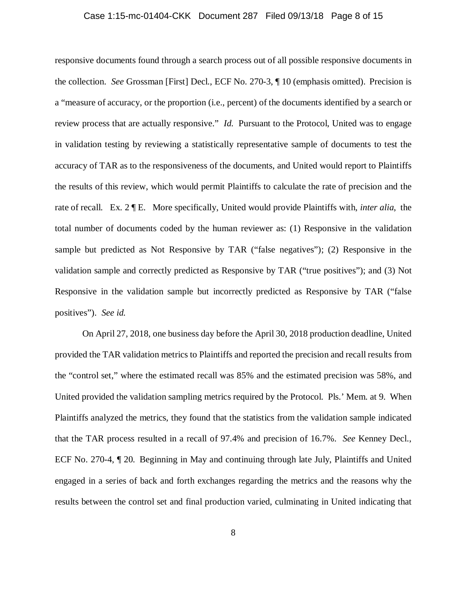### Case 1:15-mc-01404-CKK Document 287 Filed 09/13/18 Page 8 of 15

responsive documents found through a search process out of all possible responsive documents in the collection. *See* Grossman [First] Decl., ECF No. 270-3, ¶ 10 (emphasis omitted). Precision is a "measure of accuracy, or the proportion (i.e., percent) of the documents identified by a search or review process that are actually responsive." *Id.* Pursuant to the Protocol, United was to engage in validation testing by reviewing a statistically representative sample of documents to test the accuracy of TAR as to the responsiveness of the documents, and United would report to Plaintiffs the results of this review, which would permit Plaintiffs to calculate the rate of precision and the rate of recall. Ex. 2 ¶ E. More specifically, United would provide Plaintiffs with, *inter alia*, the total number of documents coded by the human reviewer as: (1) Responsive in the validation sample but predicted as Not Responsive by TAR ("false negatives"); (2) Responsive in the validation sample and correctly predicted as Responsive by TAR ("true positives"); and (3) Not Responsive in the validation sample but incorrectly predicted as Responsive by TAR ("false positives"). *See id.* 

On April 27, 2018, one business day before the April 30, 2018 production deadline, United provided the TAR validation metrics to Plaintiffs and reported the precision and recall results from the "control set," where the estimated recall was 85% and the estimated precision was 58%, and United provided the validation sampling metrics required by the Protocol. Pls.' Mem. at 9. When Plaintiffs analyzed the metrics, they found that the statistics from the validation sample indicated that the TAR process resulted in a recall of 97.4% and precision of 16.7%. *See* Kenney Decl., ECF No. 270-4, ¶ 20. Beginning in May and continuing through late July, Plaintiffs and United engaged in a series of back and forth exchanges regarding the metrics and the reasons why the results between the control set and final production varied, culminating in United indicating that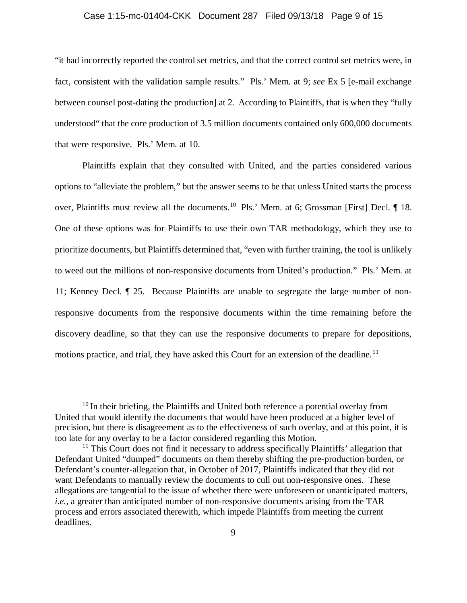# Case 1:15-mc-01404-CKK Document 287 Filed 09/13/18 Page 9 of 15

"it had incorrectly reported the control set metrics, and that the correct control set metrics were, in fact, consistent with the validation sample results." Pls.' Mem. at 9; *see* Ex 5 [e-mail exchange between counsel post-dating the production] at 2. According to Plaintiffs, that is when they "fully understood" that the core production of 3.5 million documents contained only 600,000 documents that were responsive. Pls.' Mem. at 10.

Plaintiffs explain that they consulted with United, and the parties considered various options to "alleviate the problem," but the answer seems to be that unless United starts the process over, Plaintiffs must review all the documents.<sup>[10](#page-8-0)</sup> Pls.' Mem. at 6; Grossman [First] Decl. 1 18. One of these options was for Plaintiffs to use their own TAR methodology, which they use to prioritize documents, but Plaintiffs determined that, "even with further training, the tool is unlikely to weed out the millions of non-responsive documents from United's production." Pls.' Mem. at 11; Kenney Decl. ¶ 25. Because Plaintiffs are unable to segregate the large number of nonresponsive documents from the responsive documents within the time remaining before the discovery deadline, so that they can use the responsive documents to prepare for depositions, motions practice, and trial, they have asked this Court for an extension of the deadline.<sup>[11](#page-8-1)</sup>

<span id="page-8-0"></span> $10$  In their briefing, the Plaintiffs and United both reference a potential overlay from United that would identify the documents that would have been produced at a higher level of precision, but there is disagreement as to the effectiveness of such overlay, and at this point, it is too late for any overlay to be a factor considered regarding this Motion.

<span id="page-8-1"></span> $11$  This Court does not find it necessary to address specifically Plaintiffs' allegation that Defendant United "dumped" documents on them thereby shifting the pre-production burden, or Defendant's counter-allegation that, in October of 2017, Plaintiffs indicated that they did not want Defendants to manually review the documents to cull out non-responsive ones. These allegations are tangential to the issue of whether there were unforeseen or unanticipated matters, *i.e.*, a greater than anticipated number of non-responsive documents arising from the TAR process and errors associated therewith, which impede Plaintiffs from meeting the current deadlines.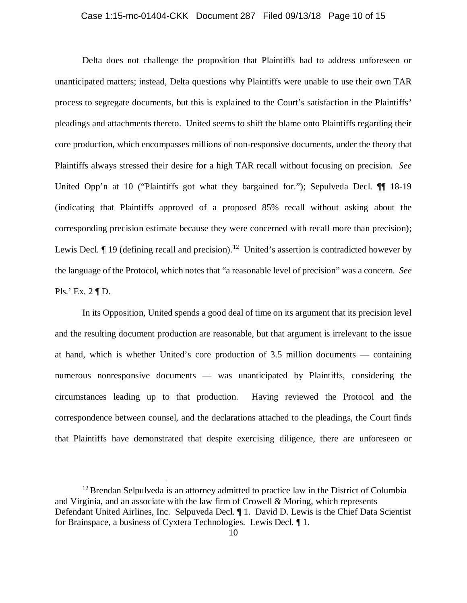### Case 1:15-mc-01404-CKK Document 287 Filed 09/13/18 Page 10 of 15

Delta does not challenge the proposition that Plaintiffs had to address unforeseen or unanticipated matters; instead, Delta questions why Plaintiffs were unable to use their own TAR process to segregate documents, but this is explained to the Court's satisfaction in the Plaintiffs' pleadings and attachments thereto. United seems to shift the blame onto Plaintiffs regarding their core production, which encompasses millions of non-responsive documents, under the theory that Plaintiffs always stressed their desire for a high TAR recall without focusing on precision. *See*  United Opp'n at 10 ("Plaintiffs got what they bargained for."); Sepulveda Decl.  $\P\P$  18-19 (indicating that Plaintiffs approved of a proposed 85% recall without asking about the corresponding precision estimate because they were concerned with recall more than precision); Lewis Decl.  $\P$  19 (defining recall and precision).<sup>12</sup> United's assertion is contradicted however by the language of the Protocol, which notes that "a reasonable level of precision" was a concern. *See*  Pls.' Ex. 2 ¶ D.

In its Opposition, United spends a good deal of time on its argument that its precision level and the resulting document production are reasonable, but that argument is irrelevant to the issue at hand, which is whether United's core production of 3.5 million documents — containing numerous nonresponsive documents — was unanticipated by Plaintiffs, considering the circumstances leading up to that production. Having reviewed the Protocol and the correspondence between counsel, and the declarations attached to the pleadings, the Court finds that Plaintiffs have demonstrated that despite exercising diligence, there are unforeseen or

<span id="page-9-0"></span> $12$  Brendan Selpulveda is an attorney admitted to practice law in the District of Columbia and Virginia, and an associate with the law firm of Crowell  $\&$  Moring, which represents Defendant United Airlines, Inc. Selpuveda Decl. ¶ 1. David D. Lewis is the Chief Data Scientist for Brainspace, a business of Cyxtera Technologies. Lewis Decl. ¶ 1.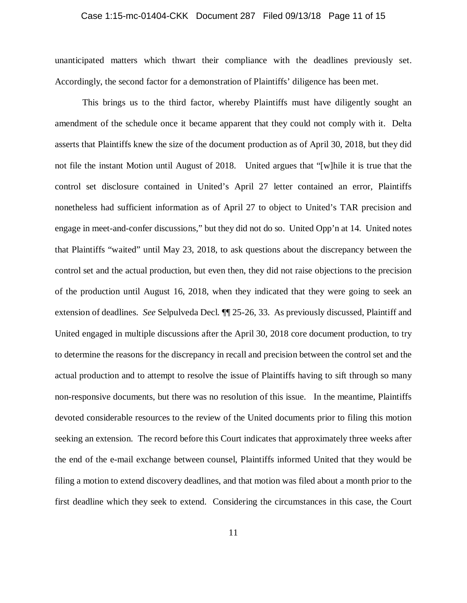### Case 1:15-mc-01404-CKK Document 287 Filed 09/13/18 Page 11 of 15

unanticipated matters which thwart their compliance with the deadlines previously set. Accordingly, the second factor for a demonstration of Plaintiffs' diligence has been met.

This brings us to the third factor, whereby Plaintiffs must have diligently sought an amendment of the schedule once it became apparent that they could not comply with it. Delta asserts that Plaintiffs knew the size of the document production as of April 30, 2018, but they did not file the instant Motion until August of 2018. United argues that "[w]hile it is true that the control set disclosure contained in United's April 27 letter contained an error, Plaintiffs nonetheless had sufficient information as of April 27 to object to United's TAR precision and engage in meet-and-confer discussions," but they did not do so. United Opp'n at 14. United notes that Plaintiffs "waited" until May 23, 2018, to ask questions about the discrepancy between the control set and the actual production, but even then, they did not raise objections to the precision of the production until August 16, 2018, when they indicated that they were going to seek an extension of deadlines. *See* Selpulveda Decl. ¶¶ 25-26, 33. As previously discussed, Plaintiff and United engaged in multiple discussions after the April 30, 2018 core document production, to try to determine the reasons for the discrepancy in recall and precision between the control set and the actual production and to attempt to resolve the issue of Plaintiffs having to sift through so many non-responsive documents, but there was no resolution of this issue. In the meantime, Plaintiffs devoted considerable resources to the review of the United documents prior to filing this motion seeking an extension. The record before this Court indicates that approximately three weeks after the end of the e-mail exchange between counsel, Plaintiffs informed United that they would be filing a motion to extend discovery deadlines, and that motion was filed about a month prior to the first deadline which they seek to extend. Considering the circumstances in this case, the Court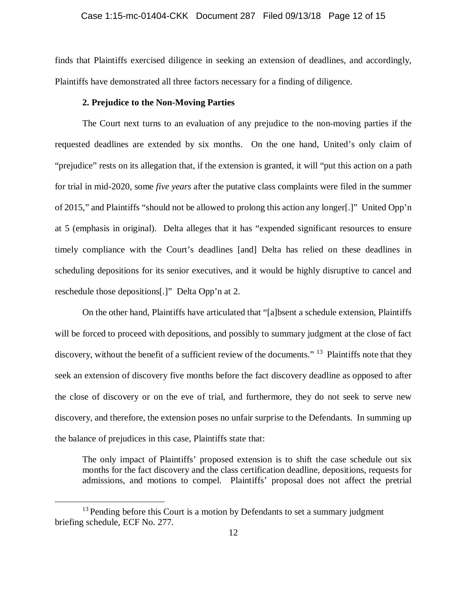finds that Plaintiffs exercised diligence in seeking an extension of deadlines, and accordingly, Plaintiffs have demonstrated all three factors necessary for a finding of diligence.

### **2. Prejudice to the Non-Moving Parties**

The Court next turns to an evaluation of any prejudice to the non-moving parties if the requested deadlines are extended by six months. On the one hand, United's only claim of "prejudice" rests on its allegation that, if the extension is granted, it will "put this action on a path for trial in mid-2020, some *five years* after the putative class complaints were filed in the summer of 2015," and Plaintiffs "should not be allowed to prolong this action any longer[.]" United Opp'n at 5 (emphasis in original). Delta alleges that it has "expended significant resources to ensure timely compliance with the Court's deadlines [and] Delta has relied on these deadlines in scheduling depositions for its senior executives, and it would be highly disruptive to cancel and reschedule those depositions[.]" Delta Opp'n at 2.

On the other hand, Plaintiffs have articulated that "[a]bsent a schedule extension, Plaintiffs will be forced to proceed with depositions, and possibly to summary judgment at the close of fact discovery, without the benefit of a sufficient review of the documents." <sup>[13](#page-11-0)</sup> Plaintiffs note that they seek an extension of discovery five months before the fact discovery deadline as opposed to after the close of discovery or on the eve of trial, and furthermore, they do not seek to serve new discovery, and therefore, the extension poses no unfair surprise to the Defendants. In summing up the balance of prejudices in this case, Plaintiffs state that:

The only impact of Plaintiffs' proposed extension is to shift the case schedule out six months for the fact discovery and the class certification deadline, depositions, requests for admissions, and motions to compel. Plaintiffs' proposal does not affect the pretrial

<span id="page-11-0"></span> $13$  Pending before this Court is a motion by Defendants to set a summary judgment briefing schedule, ECF No. 277.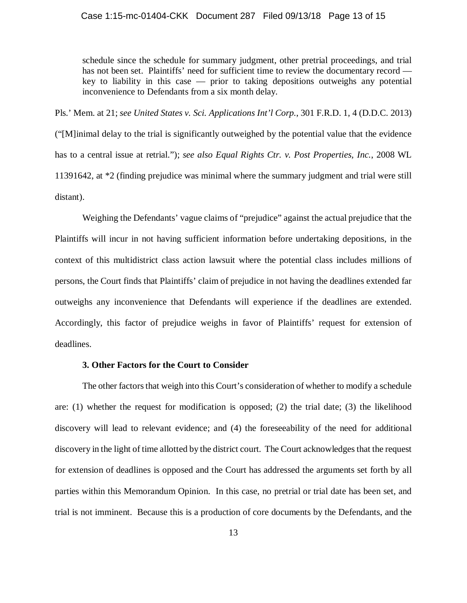schedule since the schedule for summary judgment, other pretrial proceedings, and trial has not been set. Plaintiffs' need for sufficient time to review the documentary record key to liability in this case — prior to taking depositions outweighs any potential inconvenience to Defendants from a six month delay.

Pls.' Mem. at 21; *see United States v. Sci. Applications Int'l Corp.*, 301 F.R.D. 1, 4 (D.D.C. 2013) ("[M]inimal delay to the trial is significantly outweighed by the potential value that the evidence has to a central issue at retrial."); *see also Equal Rights Ctr. v. Post Properties, Inc.*, 2008 WL 11391642, at \*2 (finding prejudice was minimal where the summary judgment and trial were still distant).

Weighing the Defendants' vague claims of "prejudice" against the actual prejudice that the Plaintiffs will incur in not having sufficient information before undertaking depositions, in the context of this multidistrict class action lawsuit where the potential class includes millions of persons, the Court finds that Plaintiffs' claim of prejudice in not having the deadlines extended far outweighs any inconvenience that Defendants will experience if the deadlines are extended. Accordingly, this factor of prejudice weighs in favor of Plaintiffs' request for extension of deadlines.

# **3. Other Factors for the Court to Consider**

The other factors that weigh into this Court's consideration of whether to modify a schedule are: (1) whether the request for modification is opposed; (2) the trial date; (3) the likelihood discovery will lead to relevant evidence; and (4) the foreseeability of the need for additional discovery in the light of time allotted by the district court. The Court acknowledges that the request for extension of deadlines is opposed and the Court has addressed the arguments set forth by all parties within this Memorandum Opinion. In this case, no pretrial or trial date has been set, and trial is not imminent. Because this is a production of core documents by the Defendants, and the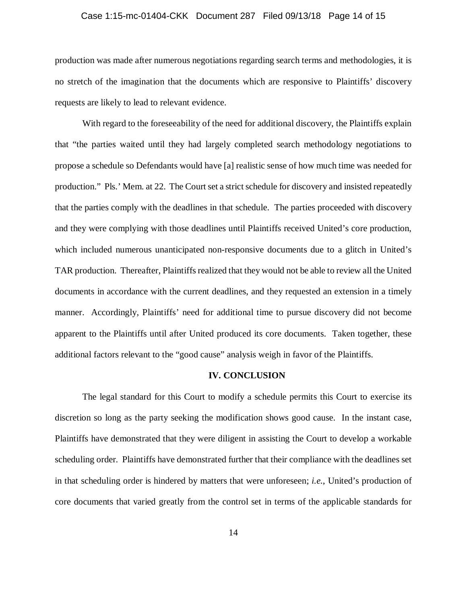### Case 1:15-mc-01404-CKK Document 287 Filed 09/13/18 Page 14 of 15

production was made after numerous negotiations regarding search terms and methodologies, it is no stretch of the imagination that the documents which are responsive to Plaintiffs' discovery requests are likely to lead to relevant evidence.

With regard to the foreseeability of the need for additional discovery, the Plaintiffs explain that "the parties waited until they had largely completed search methodology negotiations to propose a schedule so Defendants would have [a] realistic sense of how much time was needed for production." Pls.' Mem. at 22. The Court set a strict schedule for discovery and insisted repeatedly that the parties comply with the deadlines in that schedule. The parties proceeded with discovery and they were complying with those deadlines until Plaintiffs received United's core production, which included numerous unanticipated non-responsive documents due to a glitch in United's TAR production. Thereafter, Plaintiffs realized that they would not be able to review all the United documents in accordance with the current deadlines, and they requested an extension in a timely manner. Accordingly, Plaintiffs' need for additional time to pursue discovery did not become apparent to the Plaintiffs until after United produced its core documents. Taken together, these additional factors relevant to the "good cause" analysis weigh in favor of the Plaintiffs.

#### **IV. CONCLUSION**

The legal standard for this Court to modify a schedule permits this Court to exercise its discretion so long as the party seeking the modification shows good cause. In the instant case, Plaintiffs have demonstrated that they were diligent in assisting the Court to develop a workable scheduling order. Plaintiffs have demonstrated further that their compliance with the deadlines set in that scheduling order is hindered by matters that were unforeseen; *i.e.*, United's production of core documents that varied greatly from the control set in terms of the applicable standards for